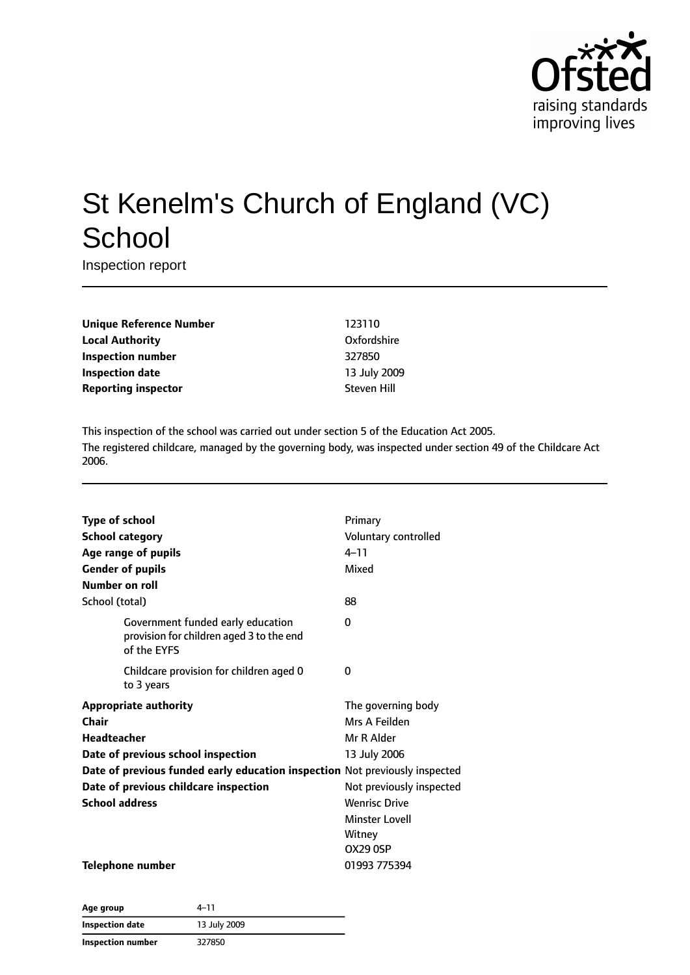

# St Kenelm's Church of England (VC) **School**

Inspection report

**Unique Reference Number** 123110 **Local Authority** Oxfordshire **Inspection number** 327850 **Inspection date** 13 July 2009 **Reporting inspector** Steven Hill

This inspection of the school was carried out under section 5 of the Education Act 2005. The registered childcare, managed by the governing body, was inspected under section 49 of the Childcare Act 2006.

| <b>Type of school</b><br><b>School category</b><br>Age range of pupils<br><b>Gender of pupils</b><br>Number on roll | Primary<br>Voluntary controlled<br>$4 - 11$<br>Mixed |
|---------------------------------------------------------------------------------------------------------------------|------------------------------------------------------|
| School (total)                                                                                                      | 88                                                   |
| Government funded early education<br>provision for children aged 3 to the end<br>of the EYFS                        | 0                                                    |
| Childcare provision for children aged 0<br>to 3 years                                                               | 0                                                    |
| <b>Appropriate authority</b>                                                                                        | The governing body                                   |
| Chair                                                                                                               | Mrs A Feilden                                        |
| Headteacher                                                                                                         | Mr R Alder                                           |
| Date of previous school inspection                                                                                  | 13 July 2006                                         |
| Date of previous funded early education inspection Not previously inspected                                         |                                                      |
| Date of previous childcare inspection                                                                               | Not previously inspected                             |
| <b>School address</b>                                                                                               | <b>Wenrisc Drive</b>                                 |
|                                                                                                                     | <b>Minster Lovell</b>                                |
|                                                                                                                     | Witney                                               |
|                                                                                                                     | <b>OX29 0SP</b>                                      |
| <b>Telephone number</b>                                                                                             | 01993 775394                                         |

| Age group         | 4-11         |  |
|-------------------|--------------|--|
| Inspection date   | 13 July 2009 |  |
| Inspection number | 327850       |  |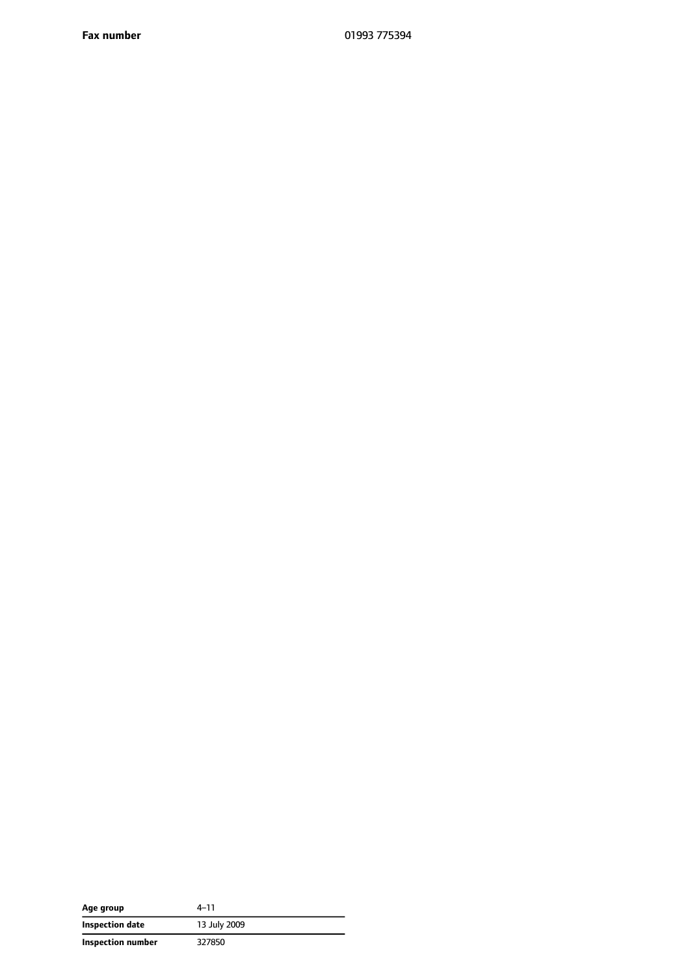**Fax number** 01993 775394

| Age group         | 4-11         |
|-------------------|--------------|
| Inspection date   | 13 July 2009 |
| Inspection number | 327850       |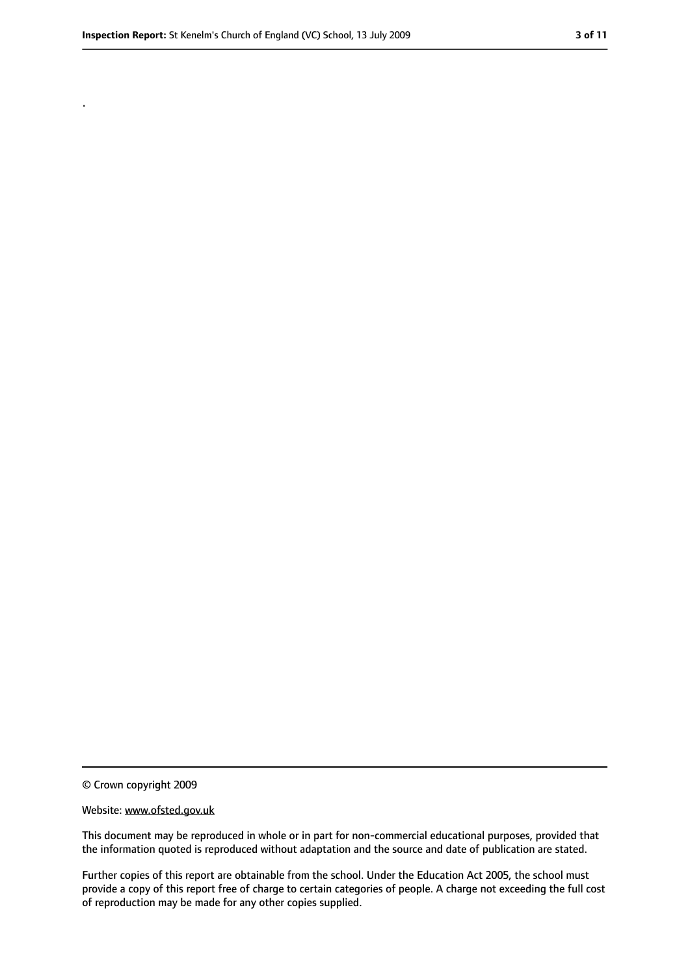.

<sup>©</sup> Crown copyright 2009

Website: www.ofsted.gov.uk

This document may be reproduced in whole or in part for non-commercial educational purposes, provided that the information quoted is reproduced without adaptation and the source and date of publication are stated.

Further copies of this report are obtainable from the school. Under the Education Act 2005, the school must provide a copy of this report free of charge to certain categories of people. A charge not exceeding the full cost of reproduction may be made for any other copies supplied.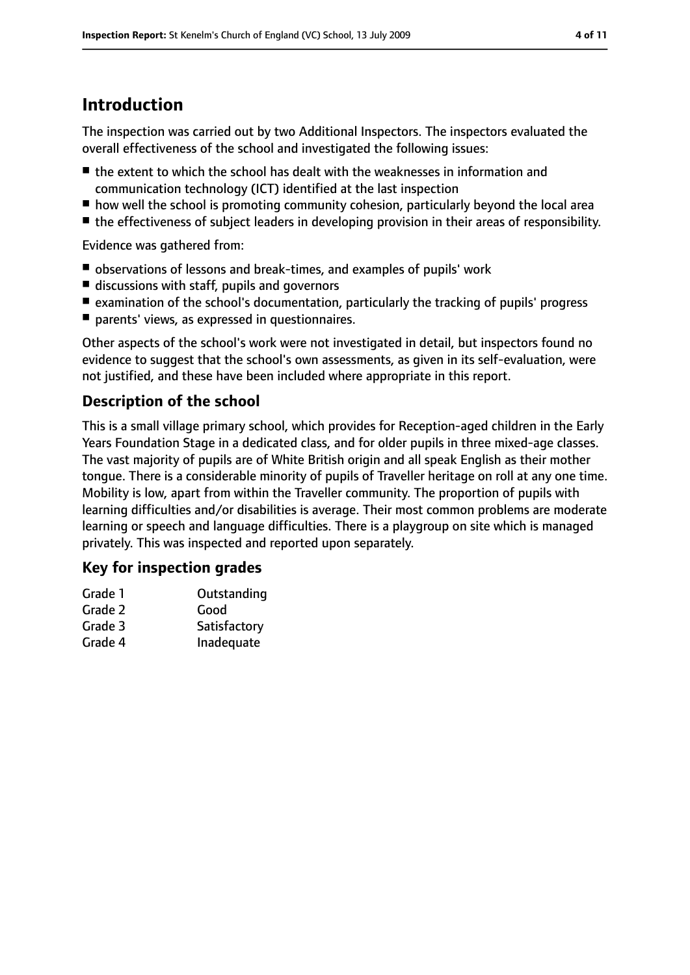## **Introduction**

The inspection was carried out by two Additional Inspectors. The inspectors evaluated the overall effectiveness of the school and investigated the following issues:

- the extent to which the school has dealt with the weaknesses in information and communication technology (ICT) identified at the last inspection
- how well the school is promoting community cohesion, particularly beyond the local area
- the effectiveness of subject leaders in developing provision in their areas of responsibility.

Evidence was gathered from:

- observations of lessons and break-times, and examples of pupils' work
- discussions with staff, pupils and governors
- examination of the school's documentation, particularly the tracking of pupils' progress
- parents' views, as expressed in questionnaires.

Other aspects of the school's work were not investigated in detail, but inspectors found no evidence to suggest that the school's own assessments, as given in its self-evaluation, were not justified, and these have been included where appropriate in this report.

### **Description of the school**

This is a small village primary school, which provides for Reception-aged children in the Early Years Foundation Stage in a dedicated class, and for older pupils in three mixed-age classes. The vast majority of pupils are of White British origin and all speak English as their mother tongue. There is a considerable minority of pupils of Traveller heritage on roll at any one time. Mobility is low, apart from within the Traveller community. The proportion of pupils with learning difficulties and/or disabilities is average. Their most common problems are moderate learning or speech and language difficulties. There is a playgroup on site which is managed privately. This was inspected and reported upon separately.

#### **Key for inspection grades**

| Grade 1 | Outstanding  |
|---------|--------------|
| Grade 2 | Good         |
| Grade 3 | Satisfactory |
| Grade 4 | Inadequate   |
|         |              |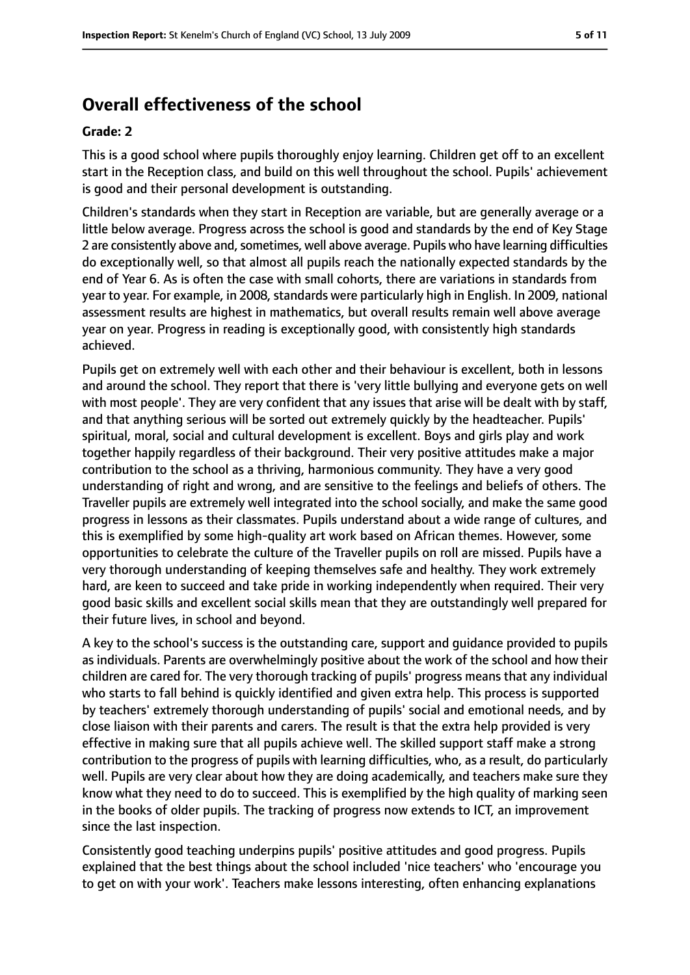## **Overall effectiveness of the school**

#### **Grade: 2**

This is a good school where pupils thoroughly enjoy learning. Children get off to an excellent start in the Reception class, and build on this well throughout the school. Pupils' achievement is good and their personal development is outstanding.

Children's standards when they start in Reception are variable, but are generally average or a little below average. Progress across the school is good and standards by the end of Key Stage 2 are consistently above and, sometimes, well above average. Pupils who have learning difficulties do exceptionally well, so that almost all pupils reach the nationally expected standards by the end of Year 6. As is often the case with small cohorts, there are variations in standards from year to year. For example, in 2008, standards were particularly high in English. In 2009, national assessment results are highest in mathematics, but overall results remain well above average year on year. Progress in reading is exceptionally good, with consistently high standards achieved.

Pupils get on extremely well with each other and their behaviour is excellent, both in lessons and around the school. They report that there is 'very little bullying and everyone gets on well with most people'. They are very confident that any issues that arise will be dealt with by staff, and that anything serious will be sorted out extremely quickly by the headteacher. Pupils' spiritual, moral, social and cultural development is excellent. Boys and girls play and work together happily regardless of their background. Their very positive attitudes make a major contribution to the school as a thriving, harmonious community. They have a very good understanding of right and wrong, and are sensitive to the feelings and beliefs of others. The Traveller pupils are extremely well integrated into the school socially, and make the same good progress in lessons as their classmates. Pupils understand about a wide range of cultures, and this is exemplified by some high-quality art work based on African themes. However, some opportunities to celebrate the culture of the Traveller pupils on roll are missed. Pupils have a very thorough understanding of keeping themselves safe and healthy. They work extremely hard, are keen to succeed and take pride in working independently when required. Their very good basic skills and excellent social skills mean that they are outstandingly well prepared for their future lives, in school and beyond.

A key to the school's success is the outstanding care, support and guidance provided to pupils as individuals. Parents are overwhelmingly positive about the work of the school and how their children are cared for. The very thorough tracking of pupils' progress means that any individual who starts to fall behind is quickly identified and given extra help. This process is supported by teachers' extremely thorough understanding of pupils' social and emotional needs, and by close liaison with their parents and carers. The result is that the extra help provided is very effective in making sure that all pupils achieve well. The skilled support staff make a strong contribution to the progress of pupils with learning difficulties, who, as a result, do particularly well. Pupils are very clear about how they are doing academically, and teachers make sure they know what they need to do to succeed. This is exemplified by the high quality of marking seen in the books of older pupils. The tracking of progress now extends to ICT, an improvement since the last inspection.

Consistently good teaching underpins pupils' positive attitudes and good progress. Pupils explained that the best things about the school included 'nice teachers' who 'encourage you to get on with your work'. Teachers make lessons interesting, often enhancing explanations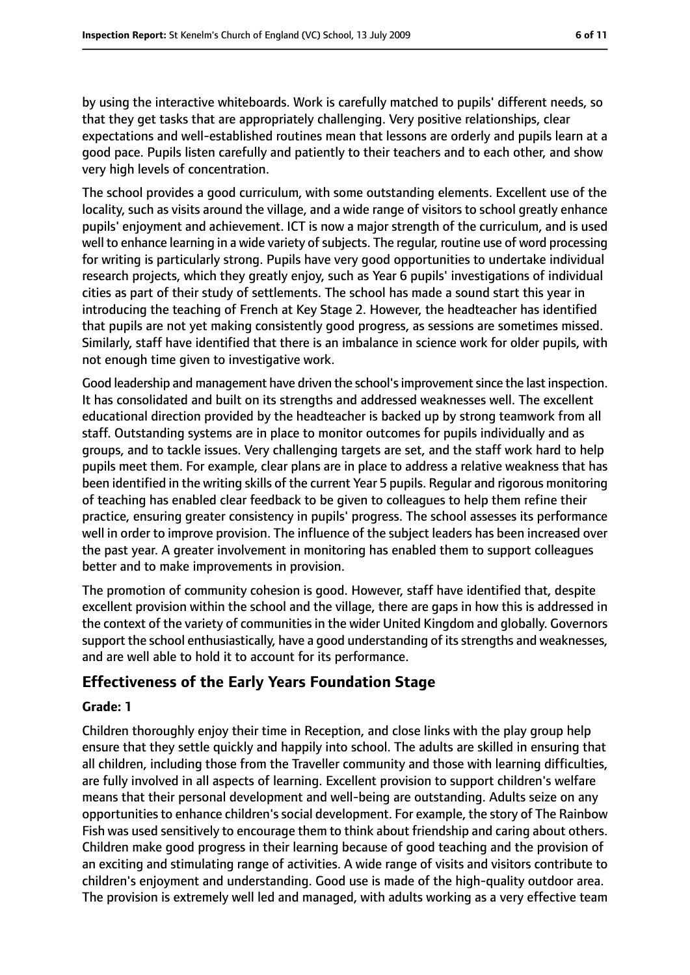by using the interactive whiteboards. Work is carefully matched to pupils' different needs, so that they get tasks that are appropriately challenging. Very positive relationships, clear expectations and well-established routines mean that lessons are orderly and pupils learn at a good pace. Pupils listen carefully and patiently to their teachers and to each other, and show very high levels of concentration.

The school provides a good curriculum, with some outstanding elements. Excellent use of the locality, such as visits around the village, and a wide range of visitors to school greatly enhance pupils' enjoyment and achievement. ICT is now a major strength of the curriculum, and is used well to enhance learning in a wide variety of subjects. The regular, routine use of word processing for writing is particularly strong. Pupils have very good opportunities to undertake individual research projects, which they greatly enjoy, such as Year 6 pupils' investigations of individual cities as part of their study of settlements. The school has made a sound start this year in introducing the teaching of French at Key Stage 2. However, the headteacher has identified that pupils are not yet making consistently good progress, as sessions are sometimes missed. Similarly, staff have identified that there is an imbalance in science work for older pupils, with not enough time given to investigative work.

Good leadership and management have driven the school's improvement since the last inspection. It has consolidated and built on its strengths and addressed weaknesses well. The excellent educational direction provided by the headteacher is backed up by strong teamwork from all staff. Outstanding systems are in place to monitor outcomes for pupils individually and as groups, and to tackle issues. Very challenging targets are set, and the staff work hard to help pupils meet them. For example, clear plans are in place to address a relative weakness that has been identified in the writing skills of the current Year 5 pupils. Regular and rigorous monitoring of teaching has enabled clear feedback to be given to colleagues to help them refine their practice, ensuring greater consistency in pupils' progress. The school assesses its performance well in order to improve provision. The influence of the subject leaders has been increased over the past year. A greater involvement in monitoring has enabled them to support colleagues better and to make improvements in provision.

The promotion of community cohesion is good. However, staff have identified that, despite excellent provision within the school and the village, there are gaps in how this is addressed in the context of the variety of communities in the wider United Kingdom and globally. Governors support the school enthusiastically, have a good understanding of itsstrengths and weaknesses, and are well able to hold it to account for its performance.

## **Effectiveness of the Early Years Foundation Stage**

#### **Grade: 1**

Children thoroughly enjoy their time in Reception, and close links with the play group help ensure that they settle quickly and happily into school. The adults are skilled in ensuring that all children, including those from the Traveller community and those with learning difficulties, are fully involved in all aspects of learning. Excellent provision to support children's welfare means that their personal development and well-being are outstanding. Adults seize on any opportunitiesto enhance children'ssocial development. For example, the story of The Rainbow Fish was used sensitively to encourage them to think about friendship and caring about others. Children make good progress in their learning because of good teaching and the provision of an exciting and stimulating range of activities. A wide range of visits and visitors contribute to children's enjoyment and understanding. Good use is made of the high-quality outdoor area. The provision is extremely well led and managed, with adults working as a very effective team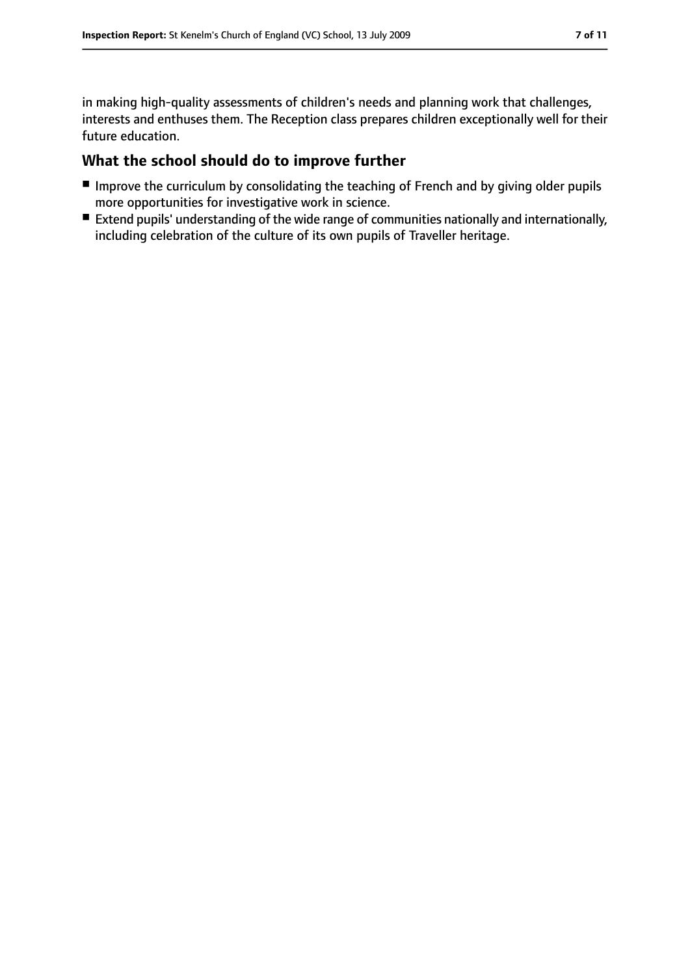in making high-quality assessments of children's needs and planning work that challenges, interests and enthuses them. The Reception class prepares children exceptionally well for their future education.

## **What the school should do to improve further**

- Improve the curriculum by consolidating the teaching of French and by giving older pupils more opportunities for investigative work in science.
- Extend pupils' understanding of the wide range of communities nationally and internationally, including celebration of the culture of its own pupils of Traveller heritage.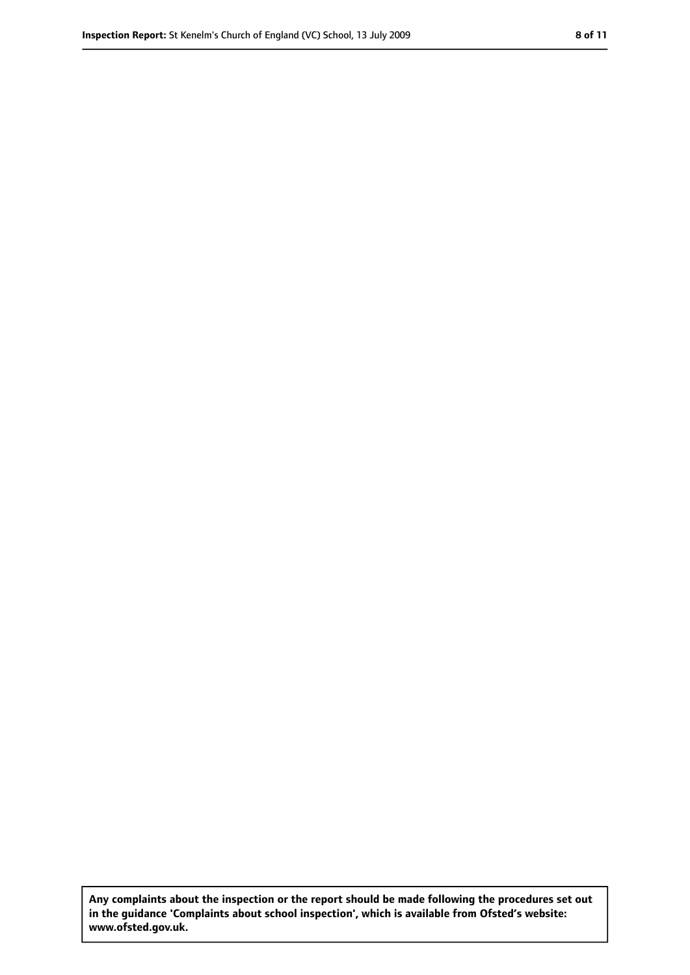**Any complaints about the inspection or the report should be made following the procedures set out in the guidance 'Complaints about school inspection', which is available from Ofsted's website: www.ofsted.gov.uk.**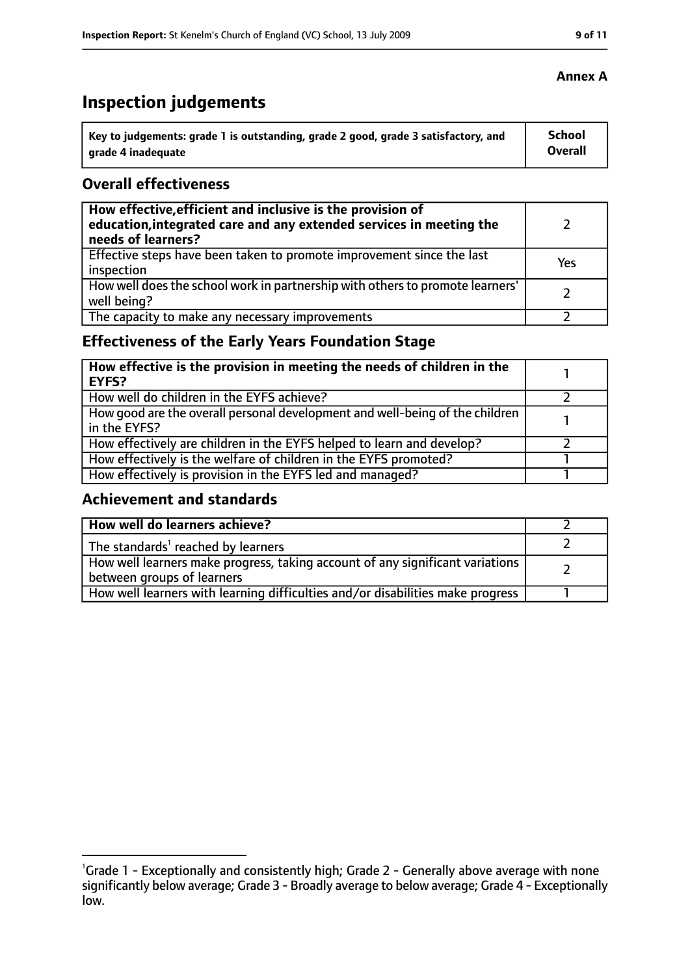## **Inspection judgements**

| Key to judgements: grade 1 is outstanding, grade 2 good, grade 3 satisfactory, and | <b>School</b> |
|------------------------------------------------------------------------------------|---------------|
| arade 4 inadequate                                                                 | Overall       |

## **Overall effectiveness**

| How effective, efficient and inclusive is the provision of<br>education, integrated care and any extended services in meeting the<br>needs of learners? |     |
|---------------------------------------------------------------------------------------------------------------------------------------------------------|-----|
| Effective steps have been taken to promote improvement since the last<br>inspection                                                                     | Yes |
| How well does the school work in partnership with others to promote learners'<br>well being?                                                            |     |
| The capacity to make any necessary improvements                                                                                                         |     |

## **Effectiveness of the Early Years Foundation Stage**

| How effective is the provision in meeting the needs of children in the<br><b>EYFS?</b>       |  |
|----------------------------------------------------------------------------------------------|--|
| How well do children in the EYFS achieve?                                                    |  |
| How good are the overall personal development and well-being of the children<br>in the EYFS? |  |
| How effectively are children in the EYFS helped to learn and develop?                        |  |
| How effectively is the welfare of children in the EYFS promoted?                             |  |
| How effectively is provision in the EYFS led and managed?                                    |  |

## **Achievement and standards**

| How well do learners achieve?                                                                               |  |
|-------------------------------------------------------------------------------------------------------------|--|
| The standards <sup>1</sup> reached by learners                                                              |  |
| How well learners make progress, taking account of any significant variations<br>between groups of learners |  |
| How well learners with learning difficulties and/or disabilities make progress                              |  |

<sup>&</sup>lt;sup>1</sup>Grade 1 - Exceptionally and consistently high; Grade 2 - Generally above average with none significantly below average; Grade 3 - Broadly average to below average; Grade 4 - Exceptionally low.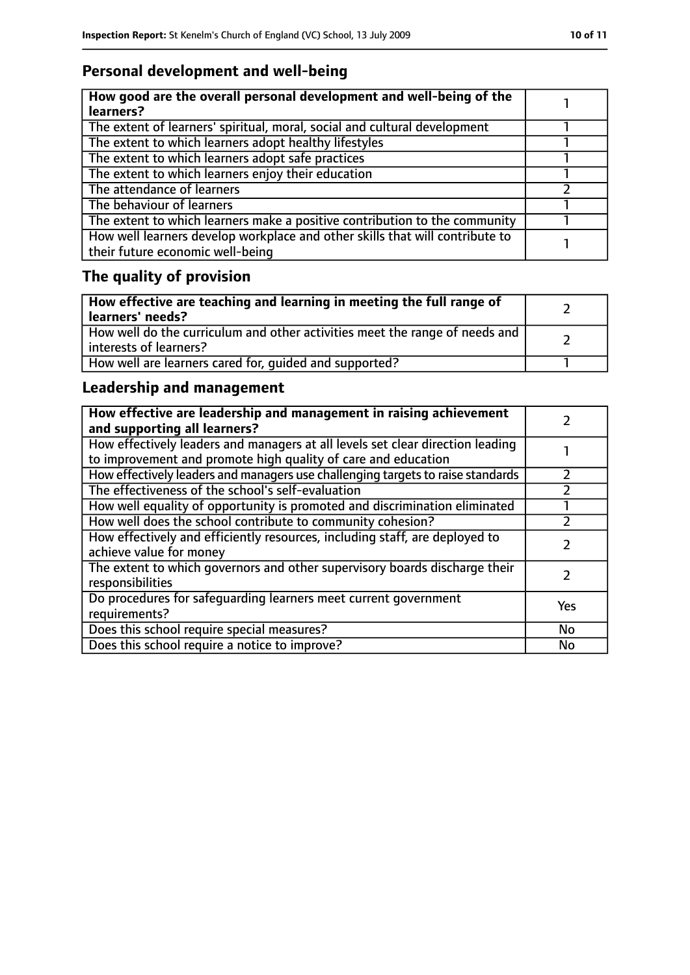## **Personal development and well-being**

| How good are the overall personal development and well-being of the<br>learners?                                 |  |
|------------------------------------------------------------------------------------------------------------------|--|
| The extent of learners' spiritual, moral, social and cultural development                                        |  |
| The extent to which learners adopt healthy lifestyles                                                            |  |
| The extent to which learners adopt safe practices                                                                |  |
| The extent to which learners enjoy their education                                                               |  |
| The attendance of learners                                                                                       |  |
| The behaviour of learners                                                                                        |  |
| The extent to which learners make a positive contribution to the community                                       |  |
| How well learners develop workplace and other skills that will contribute to<br>their future economic well-being |  |

## **The quality of provision**

| How effective are teaching and learning in meeting the full range of<br>learners' needs?              |  |
|-------------------------------------------------------------------------------------------------------|--|
| How well do the curriculum and other activities meet the range of needs and<br>interests of learners? |  |
| How well are learners cared for, quided and supported?                                                |  |

## **Leadership and management**

| How effective are leadership and management in raising achievement<br>and supporting all learners?                                              |           |
|-------------------------------------------------------------------------------------------------------------------------------------------------|-----------|
| How effectively leaders and managers at all levels set clear direction leading<br>to improvement and promote high quality of care and education |           |
| How effectively leaders and managers use challenging targets to raise standards                                                                 |           |
| The effectiveness of the school's self-evaluation                                                                                               |           |
| How well equality of opportunity is promoted and discrimination eliminated                                                                      |           |
| How well does the school contribute to community cohesion?                                                                                      |           |
| How effectively and efficiently resources, including staff, are deployed to<br>achieve value for money                                          |           |
| The extent to which governors and other supervisory boards discharge their<br>responsibilities                                                  |           |
| Do procedures for safequarding learners meet current government<br>requirements?                                                                | Yes       |
| Does this school require special measures?                                                                                                      | <b>No</b> |
| Does this school require a notice to improve?                                                                                                   | No        |